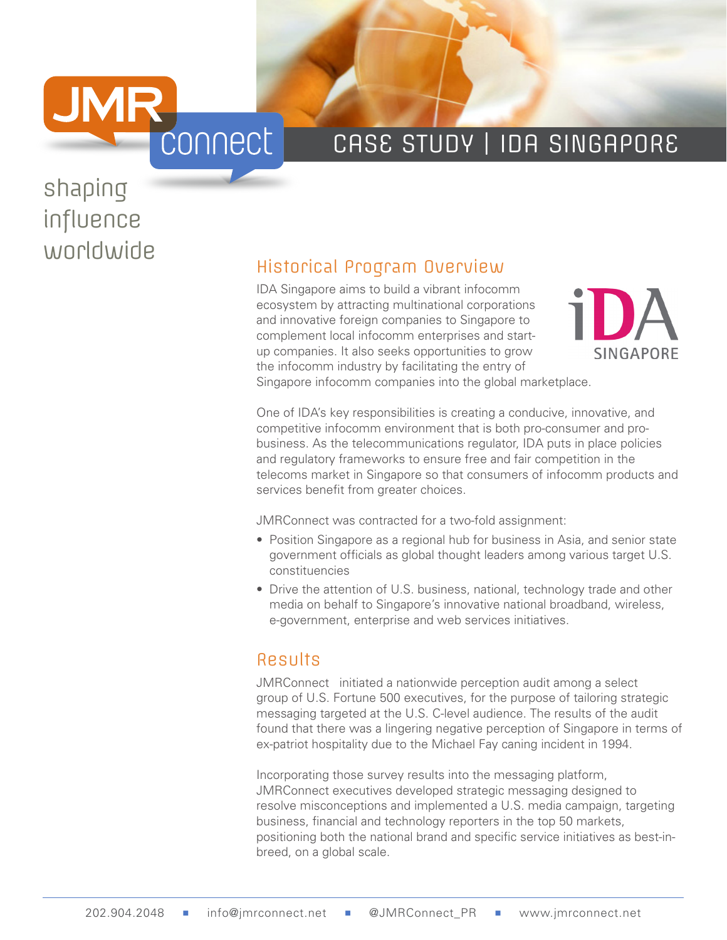

### CASE STUDY | IDA SINGAPORE

# shaping influence

## worldwide<br>
Historical Program Overview

IDA Singapore aims to build a vibrant infocomm ecosystem by attracting multinational corporations and innovative foreign companies to Singapore to complement local infocomm enterprises and startup companies. It also seeks opportunities to grow the infocomm industry by facilitating the entry of Singapore infocomm companies into the global marketplace.



One of IDA's key responsibilities is creating a conducive, innovative, and competitive infocomm environment that is both pro-consumer and probusiness. As the telecommunications regulator, IDA puts in place policies

and regulatory frameworks to ensure free and fair competition in the telecoms market in Singapore so that consumers of infocomm products and services benefit from greater choices.

JMRConnect was contracted for a two-fold assignment:

- Position Singapore as a regional hub for business in Asia, and senior state government officials as global thought leaders among various target U.S. constituencies
- Drive the attention of U.S. business, national, technology trade and other media on behalf to Singapore's innovative national broadband, wireless, e-government, enterprise and web services initiatives.

#### Results

JMRConnect initiated a nationwide perception audit among a select group of U.S. Fortune 500 executives, for the purpose of tailoring strategic messaging targeted at the U.S. C-level audience. The results of the audit found that there was a lingering negative perception of Singapore in terms of ex-patriot hospitality due to the Michael Fay caning incident in 1994.

Incorporating those survey results into the messaging platform, JMRConnect executives developed strategic messaging designed to resolve misconceptions and implemented a U.S. media campaign, targeting business, financial and technology reporters in the top 50 markets, positioning both the national brand and specific service initiatives as best-inbreed, on a global scale.